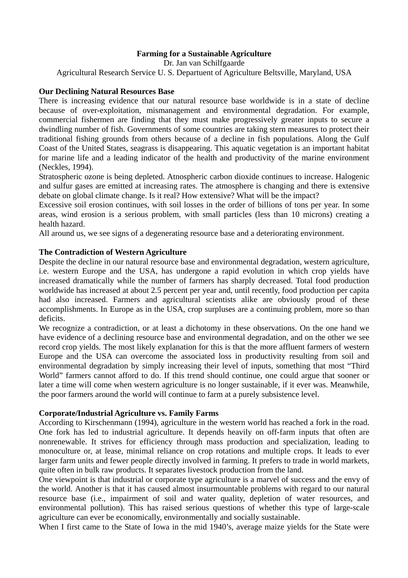# **Farming for a Sustainable Agriculture**

Dr. Jan van Schilfgaarde Agricultural Research Service U. S. Departuent of Agriculture Beltsville, Maryland, USA

## **Our Declining Natural Resources Base**

There is increasing evidence that our natural resource base worldwide is in a state of decline because of over-exploitation, mismanagement and environmental degradation. For example, commercial fishermen are finding that they must make progressively greater inputs to secure a dwindling number of fish. Governments of some countries are taking stern measures to protect their traditional fishing grounds from others because of a decline in fish populations. Along the Gulf Coast of the United States, seagrass is disappearing. This aquatic vegetation is an important habitat for marine life and a leading indicator of the health and productivity of the marine environment (Neckles, 1994).

Stratospheric ozone is being depleted. Atnospheric carbon dioxide continues to increase. Halogenic and sulfur gases are emitted at increasing rates. The atmosphere is changing and there is extensive debate on global climate change. Is it real? How extensive? What will be the impact?

Excessive soil erosion continues, with soil losses in the order of billions of tons per year. In some areas, wind erosion is a serious problem, with small particles (less than 10 microns) creating a health hazard.

All around us, we see signs of a degenerating resource base and a deteriorating environment.

## **The Contradiction of Western Agriculture**

Despite the decline in our natural resource base and environmental degradation, western agriculture, i.e. western Europe and the USA, has undergone a rapid evolution in which crop yields have increased dramatically while the number of farmers has sharply decreased. Total food production worldwide has increased at about 2.5 percent per year and, until recently, food production per capita had also increased. Farmers and agricultural scientists alike are obviously proud of these accomplishments. In Europe as in the USA, crop surpluses are a continuing problem, more so than deficits.

We recognize a contradiction, or at least a dichotomy in these observations. On the one hand we have evidence of a declining resource base and environmental degradation, and on the other we see record crop yields. The most likely explanation for this is that the more affluent farmers of western Europe and the USA can overcome the associated loss in productivity resulting from soil and environmental degradation by simply increasing their level of inputs, something that most "Third World" farmers cannot afford to do. If this trend should continue, one could argue that sooner or later a time will come when western agriculture is no longer sustainable, if it ever was. Meanwhile, the poor farmers around the world will continue to farm at a purely subsistence level.

## **Corporate/Industrial Agriculture vs. Family Farms**

According to Kirschenmann (1994), agriculture in the western world has reached a fork in the road. One fork has led to industrial agriculture. It depends heavily on off-farm inputs that often are nonrenewable. It strives for efficiency through mass production and specialization, leading to monoculture or, at lease, minimal reliance on crop rotations and multiple crops. It leads to ever larger farm units and fewer people directly involved in farming. It prefers to trade in world markets, quite often in bulk raw products. It separates livestock production from the land.

One viewpoint is that industrial or corporate type agriculture is a marvel of success and the envy of the world. Another is that it has caused almost insurmountable problems with regard to our natural resource base (i.e., impairment of soil and water quality, depletion of water resources, and environmental pollution). This has raised serious questions of whether this type of large-scale agriculture can ever be economically, environmentally and socially sustainable.

When I first came to the State of Iowa in the mid 1940's, average maize yields for the State were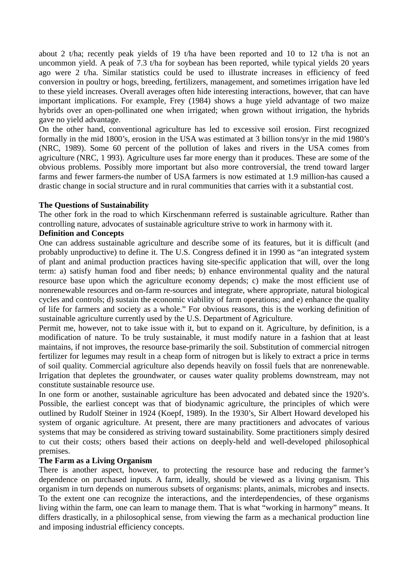about 2 t/ha; recently peak yields of 19 t/ha have been reported and 10 to 12 t/ha is not an uncommon yield. A peak of 7.3 t/ha for soybean has been reported, while typical yields 20 years ago were 2 t/ha. Similar statistics could be used to illustrate increases in efficiency of feed conversion in poultry or hogs, breeding, fertilizers, management, and sometimes irrigation have led to these yield increases. Overall averages often hide interesting interactions, however, that can have important implications. For example, Frey (1984) shows a huge yield advantage of two maize hybrids over an open-pollinated one when irrigated; when grown without irrigation, the hybrids gave no yield advantage.

On the other hand, conventional agriculture has led to excessive soil erosion. First recognized formally in the mid 1800's, erosion in the USA was estimated at 3 billion tons/yr in the mid 1980's (NRC, 1989). Some 60 percent of the pollution of lakes and rivers in the USA comes from agriculture (NRC, 1 993). Agriculture uses far more energy than it produces. These are some of the obvious problems. Possibly more important but also more controversial, the trend toward larger farms and fewer farmers-the number of USA farmers is now estimated at 1.9 million-has caused a drastic change in social structure and in rural communities that carries with it a substantial cost.

## **The Questions of Sustainability**

The other fork in the road to which Kirschenmann referred is sustainable agriculture. Rather than controlling nature, advocates of sustainable agriculture strive to work in harmony with it.

## **Definition and Concepts**

One can address sustainable agriculture and describe some of its features, but it is difficult (and probably unproductive) to define it. The U.S. Congress defined it in 1990 as "an integrated system of plant and animal production practices having site-specific application that will, over the long term: a) satisfy human food and fiber needs; b) enhance environmental quality and the natural resource base upon which the agriculture economy depends; c) make the most efficient use of nonrenewable resources and on-farm re-sources and integrate, where appropriate, natural biological cycles and controls; d) sustain the economic viability of farm operations; and e) enhance the quality of life for farmers and society as a whole." For obvious reasons, this is the working definition of sustainable agriculture currently used by the U.S. Department of Agriculture.

Permit me, however, not to take issue with it, but to expand on it. Agriculture, by definition, is a modification of nature. To be truly sustainable, it must modify nature in a fashion that at least maintains, if not improves, the resource base-primarily the soil. Substitution of commercial nitrogen fertilizer for legumes may result in a cheap form of nitrogen but is likely to extract a price in terms of soil quality. Commercial agriculture also depends heavily on fossil fuels that are nonrenewable. Irrigation that depletes the groundwater, or causes water quality problems downstream, may not constitute sustainable resource use.

In one form or another, sustainable agriculture has been advocated and debated since the 1920's. Possible, the earliest concept was that of biodynamic agriculture, the principles of which were outlined by Rudolf Steiner in 1924 (Koepf, 1989). In the 1930's, Sir Albert Howard developed his system of organic agriculture. At present, there are many practitioners and advocates of various systems that may be considered as striving toward sustainability. Some practitioners simply desired to cut their costs; others based their actions on deeply-held and well-developed philosophical premises.

#### **The Farm as a Living Organism**

There is another aspect, however, to protecting the resource base and reducing the farmer's dependence on purchased inputs. A farm, ideally, should be viewed as a living organism. This organism in turn depends on numerous subsets of organisms: plants, animals, microbes and insects. To the extent one can recognize the interactions, and the interdependencies, of these organisms living within the farm, one can learn to manage them. That is what "working in harmony" means. It differs drastically, in a philosophical sense, from viewing the farm as a mechanical production line and imposing industrial efficiency concepts.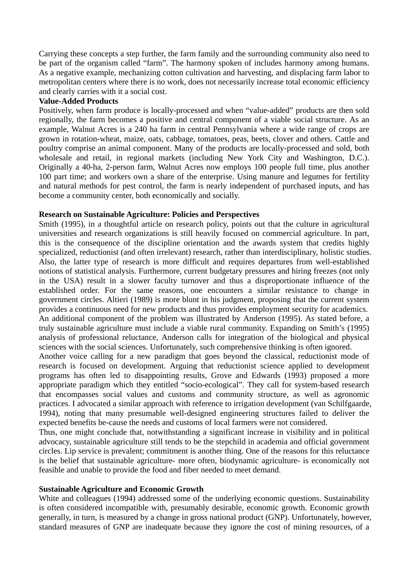Carrying these concepts a step further, the farm family and the surrounding community also need to be part of the organism called "farm". The harmony spoken of includes harmony among humans. As a negative example, mechanizing cotton cultivation and harvesting, and displacing farm labor to metropolitan centers where there is no work, does not necessarily increase total economic efficiency and clearly carries with it a social cost.

# **Value-Added Products**

Positively, when farm produce is locally-processed and when "value-added" products are then sold regionally, the farm becomes a positive and central component of a viable social structure. As an example, Walnut Acres is a 240 ha farm in central Pennsylvania where a wide range of crops are grown in rotation-wheat, maize, oats, cabbage, tomatoes, peas, beets, clover and others. Cattle and poultry comprise an animal component. Many of the products are locally-processed and sold, both wholesale and retail, in regional markets (including New York City and Washington, D.C.). Originally a 40-ha, 2-person farm, Walnut Acres now employs 100 people full time, plus another 100 part time; and workers own a share of the enterprise. Using manure and legumes for fertility and natural methods for pest control, the farm is nearly independent of purchased inputs, and has become a community center, both economically and socially.

# **Research on Sustainable Agriculture: Policies and Perspectives**

Smith (1995), in a thoughtful article on research policy, points out that the culture in agricultural universities and research organizations is still heavily focused on commercial agriculture. In part, this is the consequence of the discipline orientation and the awards system that credits highly specialized, reductionist (and often irrelevant) research, rather than interdisciplinary, holistic studies. Also, the latter type of research is more difficult and requires departures from well-established notions of statistical analysis. Furthermore, current budgetary pressures and hiring freezes (not only in the USA) result in a slower faculty turnover and thus a disproportionate influence of the established order. For the same reasons, one encounters a similar resistance to change in government circles. Altieri (1989) is more blunt in his judgment, proposing that the current system provides a continuous need for new products and thus provides employment security for academics. An additional component of the problem was illustrated by Anderson (1995). As stated before, a truly sustainable agriculture must include a viable rural community. Expanding on Smith's (1995) analysis of professional reluctance, Anderson calls for integration of the biological and physical sciences with the social sciences. Unfortunately, such comprehensive thinking is often ignored.

Another voice calling for a new paradigm that goes beyond the classical, reductionist mode of research is focused on development. Arguing that reductionist science applied to development programs has often led to disappointing results, Grove and Edwards (1993) proposed a more appropriate paradigm which they entitled "socio-ecological". They call for system-based research that encompasses social values and customs and community structure, as well as agronomic practices. I advocated a similar approach with reference to irrigation development (van Schilfgaarde, 1994), noting that many presumable well-designed engineering structures failed to deliver the expected benefits be-cause the needs and customs of local farmers were not considered.

Thus, one might conclude that, notwithstanding a significant increase in visibility and in political advocacy, sustainable agriculture still tends to be the stepchild in academia and official government circles. Lip service is prevalent; commitment is another thing. One of the reasons for this reluctance is the belief that sustainable agriculture- more often, biodynamic agriculture- is economically not feasible and unable to provide the food and fiber needed to meet demand.

## **Sustainable Agriculture and Economic Growth**

White and colleagues (1994) addressed some of the underlying economic questions. Sustainability is often considered incompatible with, presumably desirable, economic growth. Economic growth generally, in turn, is measured by a change in gross national product (GNP). Unfortunately, however, standard measures of GNP are inadequate because they ignore the cost of mining resources, of a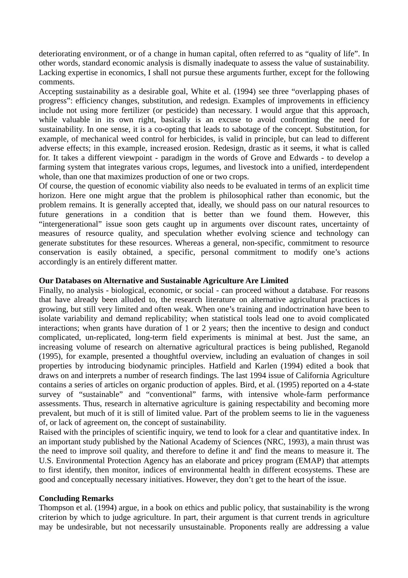deteriorating environment, or of a change in human capital, often referred to as "quality of life". In other words, standard economic analysis is dismally inadequate to assess the value of sustainability. Lacking expertise in economics, I shall not pursue these arguments further, except for the following comments.

Accepting sustainability as a desirable goal, White et al. (1994) see three "overlapping phases of progress": efficiency changes, substitution, and redesign. Examples of improvements in efficiency include not using more fertilizer (or pesticide) than necessary. I would argue that this approach, while valuable in its own right, basically is an excuse to avoid confronting the need for sustainability. In one sense, it is a co-opting that leads to sabotage of the concept. Substitution, for example, of mechanical weed control for herbicides, is valid in principle, but can lead to different adverse effects; in this example, increased erosion. Redesign, drastic as it seems, it what is called for. It takes a different viewpoint - paradigm in the words of Grove and Edwards - to develop a farming system that integrates various crops, legumes, and livestock into a unified, interdependent whole, than one that maximizes production of one or two crops.

Of course, the question of economic viability also needs to be evaluated in terms of an explicit time horizon. Here one might argue that the problem is philosophical rather than economic, but the problem remains. It is generally accepted that, ideally, we should pass on our natural resources to future generations in a condition that is better than we found them. However, this "intergenerational" issue soon gets caught up in arguments over discount rates, uncertainty of measures of resource quality, and speculation whether evolving science and technology can generate substitutes for these resources. Whereas a general, non-specific, commitment to resource conservation is easily obtained, a specific, personal commitment to modify one's actions accordingly is an entirely different matter.

# **Our Databases on Alternative and Sustainable Agriculture Are Limited**

Finally, no analysis - biological, economic, or social - can proceed without a database. For reasons that have already been alluded to, the research literature on alternative agricultural practices is growing, but still very limited and often weak. When one's training and indoctrination have been to isolate variability and demand replicability; when statistical tools lead one to avoid complicated interactions; when grants have duration of 1 or 2 years; then the incentive to design and conduct complicated, un-replicated, long-term field experiments is minimal at best. Just the same, an increasing volume of research on alternative agricultural practices is being published, Reganold (1995), for example, presented a thoughtful overview, including an evaluation of changes in soil properties by introducing biodynamic principles. Hatfield and Karlen (1994) edited a book that draws on and interprets a number of research findings. The last 1994 issue of California Agriculture contains a series of articles on organic production of apples. Bird, et al. (1995) reported on a 4-state survey of "sustainable" and "conventional" farms, with intensive whole-farm performance assessments. Thus, research in alternative agriculture is gaining respectability and becoming more prevalent, but much of it is still of limited value. Part of the problem seems to lie in the vagueness of, or lack of agreement on, the concept of sustainability.

Raised with the principles of scientific inquiry, we tend to look for a clear and quantitative index. In an important study published by the National Academy of Sciences (NRC, 1993), a main thrust was the need to improve soil quality, and therefore to define it and' find the means to measure it. The U.S. Environmental Protection Agency has an elaborate and pricey program (EMAP) that attempts to first identify, then monitor, indices of environmental health in different ecosystems. These are good and conceptually necessary initiatives. However, they don't get to the heart of the issue.

## **Concluding Remarks**

Thompson et al. (1994) argue, in a book on ethics and public policy, that sustainability is the wrong criterion by which to judge agriculture. In part, their argument is that current trends in agriculture may be undesirable, but not necessarily unsustainable. Proponents really are addressing a value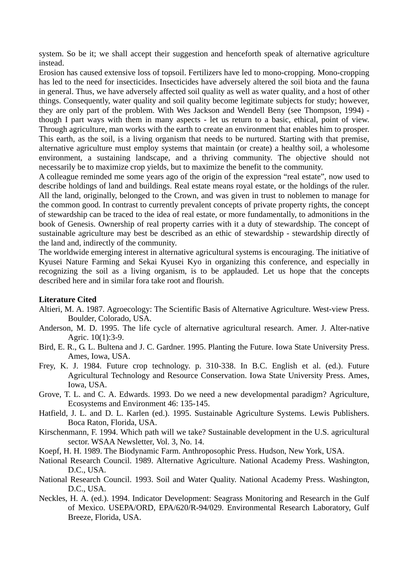system. So be it; we shall accept their suggestion and henceforth speak of alternative agriculture instead.

Erosion has caused extensive loss of topsoil. Fertilizers have led to mono-cropping. Mono-cropping has led to the need for insecticides. Insecticides have adversely altered the soil biota and the fauna in general. Thus, we have adversely affected soil quality as well as water quality, and a host of other things. Consequently, water quality and soil quality become legitimate subjects for study; however, they are only part of the problem. With Wes Jackson and Wendell Beny (see Thompson, 1994) though I part ways with them in many aspects - let us return to a basic, ethical, point of view. Through agriculture, man works with the earth to create an environment that enables him to prosper. This earth, as the soil, is a living organism that needs to be nurtured. Starting with that premise, alternative agriculture must employ systems that maintain (or create) a healthy soil, a wholesome environment, a sustaining landscape, and a thriving community. The objective should not necessarily be to maximize crop yields, but to maximize the benefit to the community.

A colleague reminded me some years ago of the origin of the expression "real estate", now used to describe holdings of land and buildings. Real estate means royal estate, or the holdings of the ruler. All the land, originally, belonged to the Crown, and was given in trust to noblemen to manage for the common good. In contrast to currently prevalent concepts of private property rights, the concept of stewardship can be traced to the idea of real estate, or more fundamentally, to admonitions in the book of Genesis. Ownership of real property carries with it a duty of stewardship. The concept of sustainable agriculture may best be described as an ethic of stewardship - stewardship directly of the land and, indirectly of the community.

The worldwide emerging interest in alternative agricultural systems is encouraging. The initiative of Kyusei Nature Farming and Sekai Kyusei Kyo in organizing this conference, and especially in recognizing the soil as a living organism, is to be applauded. Let us hope that the concepts described here and in similar fora take root and flourish.

## **Literature Cited**

- Altieri, M. A. 1987. Agroecology: The Scientific Basis of Alternative Agriculture. West-view Press. Boulder, Colorado, USA.
- Anderson, M. D. 1995. The life cycle of alternative agricultural research. Amer. J. Alter-native Agric. 10(1):3-9.
- Bird, E. R., G. L. Bultena and J. C. Gardner. 1995. Planting the Future. Iowa State University Press. Ames, Iowa, USA.
- Frey, K. J. 1984. Future crop technology. p. 310-338. In B.C. English et al. (ed.). Future Agricultural Technology and Resource Conservation. Iowa State University Press. Ames, Iowa, USA.
- Grove, T. L. and C. A. Edwards. 1993. Do we need a new developmental paradigm? Agriculture, Ecosystems and Environment 46: 135-145.
- Hatfield, J. L. and D. L. Karlen (ed.). 1995. Sustainable Agriculture Systems. Lewis Publishers. Boca Raton, Florida, USA.
- Kirschenmann, F. 1994. Which path will we take? Sustainable development in the U.S. agricultural sector. WSAA Newsletter, Vol. 3, No. 14.
- Koepf, H. H. 1989. The Biodynamic Farm. Anthroposophic Press. Hudson, New York, USA.
- National Research Council. 1989. Alternative Agriculture. National Academy Press. Washington, D.C., USA.
- National Research Council. 1993. Soil and Water Quality. National Academy Press. Washington, D.C., USA.
- Neckles, H. A. (ed.). 1994. Indicator Development: Seagrass Monitoring and Research in the Gulf of Mexico. USEPA/ORD, EPA/620/R-94/029. Environmental Research Laboratory, Gulf Breeze, Florida, USA.